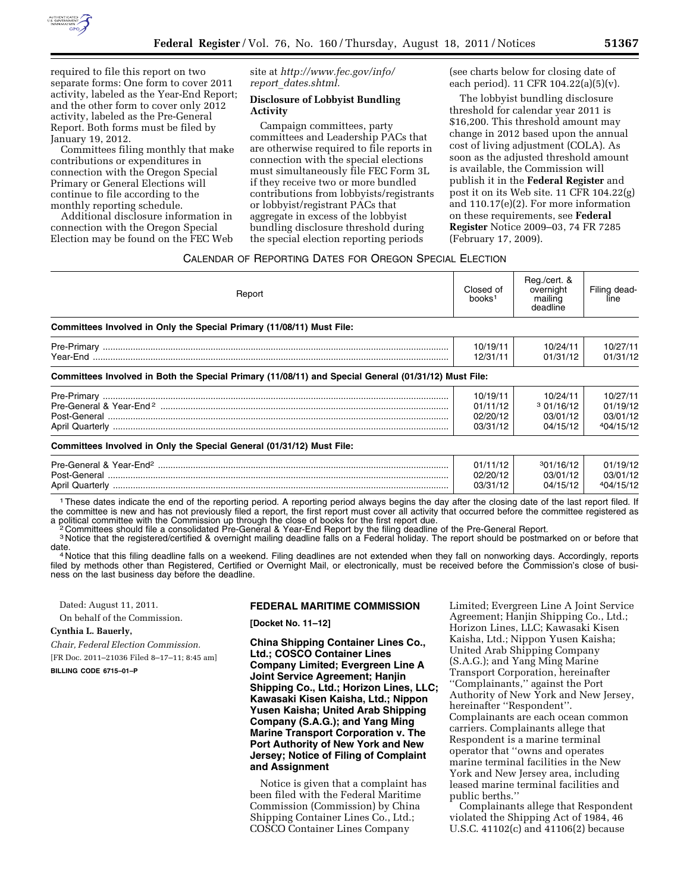

required to file this report on two separate forms: One form to cover 2011 activity, labeled as the Year-End Report; and the other form to cover only 2012 activity, labeled as the Pre-General Report. Both forms must be filed by January 19, 2012.

Committees filing monthly that make contributions or expenditures in connection with the Oregon Special Primary or General Elections will continue to file according to the monthly reporting schedule.

Additional disclosure information in connection with the Oregon Special Election may be found on the FEC Web site at *[http://www.fec.gov/info/](http://www.fec.gov/info/report_dates.shtml) report*\_*[dates.shtml.](http://www.fec.gov/info/report_dates.shtml)* 

#### **Disclosure of Lobbyist Bundling Activity**

Campaign committees, party committees and Leadership PACs that are otherwise required to file reports in connection with the special elections must simultaneously file FEC Form 3L if they receive two or more bundled contributions from lobbyists/registrants or lobbyist/registrant PACs that aggregate in excess of the lobbyist bundling disclosure threshold during the special election reporting periods

(see charts below for closing date of each period). 11 CFR 104.22(a)(5)(v).

The lobbyist bundling disclosure threshold for calendar year 2011 is \$16,200. This threshold amount may change in 2012 based upon the annual cost of living adjustment (COLA). As soon as the adjusted threshold amount is available, the Commission will publish it in the **Federal Register** and post it on its Web site. 11 CFR 104.22(g) and 110.17(e)(2). For more information on these requirements, see **Federal Register** Notice 2009–03, 74 FR 7285 (February 17, 2009).

# CALENDAR OF REPORTING DATES FOR OREGON SPECIAL ELECTION

| Report                                                                                               | Closed of<br>books <sup>7</sup>              | Reg./cert. &<br>overnight<br>mailing<br>deadline | Filing dead-<br>line                          |
|------------------------------------------------------------------------------------------------------|----------------------------------------------|--------------------------------------------------|-----------------------------------------------|
| Committees Involved in Only the Special Primary (11/08/11) Must File:                                |                                              |                                                  |                                               |
|                                                                                                      | 10/19/11<br>12/31/11                         | 10/24/11<br>01/31/12                             | 10/27/11<br>01/31/12                          |
| Committees Involved in Both the Special Primary (11/08/11) and Special General (01/31/12) Must File: |                                              |                                                  |                                               |
|                                                                                                      | 10/19/11<br>01/11/12<br>02/20/12<br>03/31/12 | 10/24/11<br>301/16/12<br>03/01/12<br>04/15/12    | 10/27/11<br>01/19/12<br>03/01/12<br>404/15/12 |
| Committees Involved in Only the Special General (01/31/12) Must File:                                |                                              |                                                  |                                               |
|                                                                                                      | 01/11/12<br>02/20/12<br>03/31/12             | 301/16/12<br>03/01/12<br>04/15/12                | 01/19/12<br>03/01/12<br>404/15/12<br>.        |

1These dates indicate the end of the reporting period. A reporting period always begins the day after the closing date of the last report filed. If the committee is new and has not previously filed a report, the first report must cover all activity that occurred before the committee registered as<br>a political committee with the Commission up through the close of books

Committees should file a consolidated Pre-General & Year-End Report by the filing deadline of the Pre-General Report.

3 Notice that the registered/certified & overnight mailing deadline falls on a Federal holiday. The report should be postmarked on or before that

date.<br>4 Notice that this filing deadline falls on a weekend. Filing deadlines are not extended when they fall on nonworking days. Accordingly, reports filed by methods other than Registered, Certified or Overnight Mail, or electronically, must be received before the Commission's close of business on the last business day before the deadline.

Dated: August 11, 2011.

On behalf of the Commission.

**Cynthia L. Bauerly,** 

*Chair, Federal Election Commission.*  [FR Doc. 2011–21036 Filed 8–17–11; 8:45 am]

**BILLING CODE 6715–01–P** 

#### **FEDERAL MARITIME COMMISSION**

**[Docket No. 11–12]** 

**China Shipping Container Lines Co., Ltd.; COSCO Container Lines Company Limited; Evergreen Line A Joint Service Agreement; Hanjin Shipping Co., Ltd.; Horizon Lines, LLC; Kawasaki Kisen Kaisha, Ltd.; Nippon Yusen Kaisha; United Arab Shipping Company (S.A.G.); and Yang Ming Marine Transport Corporation v. The Port Authority of New York and New Jersey; Notice of Filing of Complaint and Assignment** 

Notice is given that a complaint has been filed with the Federal Maritime Commission (Commission) by China Shipping Container Lines Co., Ltd.; COSCO Container Lines Company

Limited; Evergreen Line A Joint Service Agreement; Hanjin Shipping Co., Ltd.; Horizon Lines, LLC; Kawasaki Kisen Kaisha, Ltd.; Nippon Yusen Kaisha; United Arab Shipping Company (S.A.G.); and Yang Ming Marine Transport Corporation, hereinafter ''Complainants,'' against the Port Authority of New York and New Jersey, hereinafter ''Respondent''. Complainants are each ocean common carriers. Complainants allege that Respondent is a marine terminal operator that ''owns and operates marine terminal facilities in the New York and New Jersey area, including leased marine terminal facilities and public berths.''

Complainants allege that Respondent violated the Shipping Act of 1984, 46 U.S.C. 41102(c) and 41106(2) because